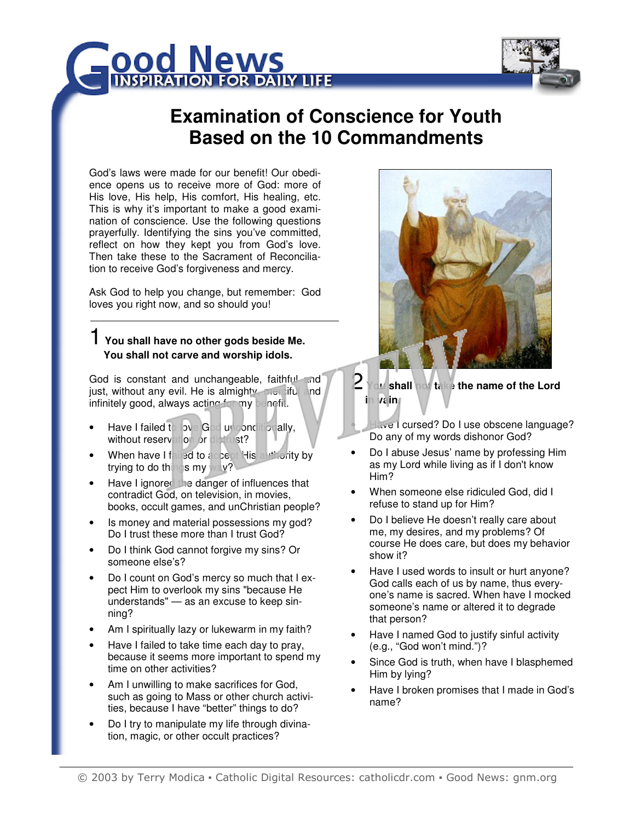



# **Examination of Conscience for Youth Based on the 10 Commandments**

God's laws were made for our benefit! Our obedience opens us to receive more of God: more of His love, His help, His comfort, His healing, etc. This is why it's important to make a good examination of conscience. Use the following questions prayerfully. Identifying the sins you've committed, reflect on how they kept you from God's love. Then take these to the Sacrament of Reconciliation to receive God's forgiveness and mercy.

Ask God to help you change, but remember: God loves you right now, and so should you!

#### 1 **You shall have no other gods beside Me. You shall not carve and worship idols.**

God is constant and unchangeable, faithful and just, without any evil. He is almighty, merciful and infinitely good, always acting for my benefit.

- Have I failed to love God unconditionally, without reservation or distrust?
- When have I failed to accept His authority by trying to do things my way?
- Have I ignored the danger of influences that contradict God, on television, in movies, books, occult games, and unChristian people?
- Is money and material possessions my god? Do I trust these more than I trust God?
- Do I think God cannot forgive my sins? Or someone else's?
- Do I count on God's mercy so much that I expect Him to overlook my sins "because He understands" — as an excuse to keep sinning?
- Am I spiritually lazy or lukewarm in my faith?
- Have I failed to take time each day to pray, because it seems more important to spend my time on other activities?
- Am I unwilling to make sacrifices for God, such as going to Mass or other church activities, because I have "better" things to do?
- Do I try to manipulate my life through divination, magic, or other occult practices?



2 **You shall not take the name of the Lord in vain.** 

Have I cursed? Do I use obscene language? Do any of my words dishonor God?

- Do I abuse Jesus' name by professing Him as my Lord while living as if I don't know Him?
- When someone else ridiculed God, did I refuse to stand up for Him?
- Do I believe He doesn't really care about me, my desires, and my problems? Of course He does care, but does my behavior show it?
- Have I used words to insult or hurt anyone? God calls each of us by name, thus everyone's name is sacred. When have I mocked someone's name or altered it to degrade that person?
- Have I named God to justify sinful activity (e.g., "God won't mind.")?
- Since God is truth, when have I blasphemed Him by lying?
- Have I broken promises that I made in God's name?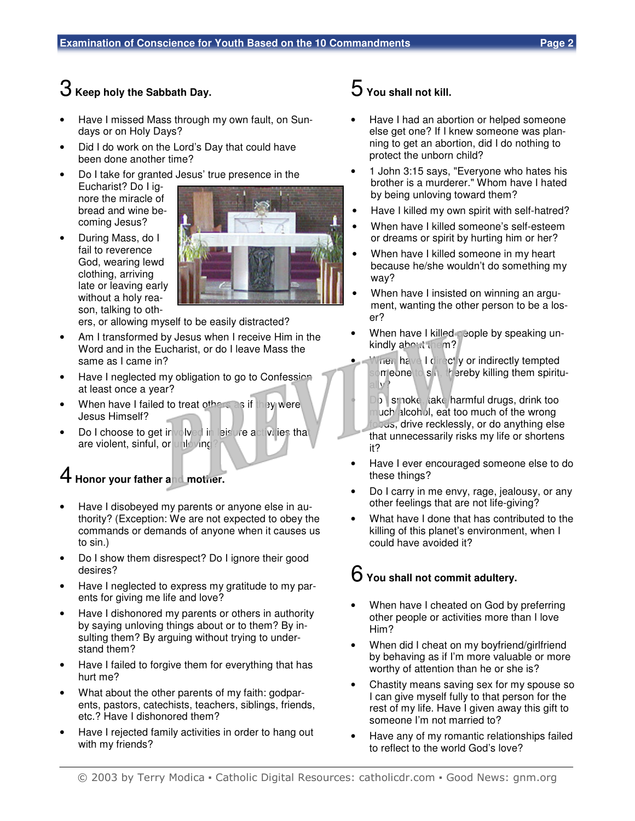## 3 **Keep holy the Sabbath Day.**

- Have I missed Mass through my own fault, on Sundays or on Holy Days?
- Did I do work on the Lord's Day that could have been done another time?
- Do I take for granted Jesus' true presence in the Eucharist? Do I ignore the miracle of bread and wine be-
- coming Jesus? • During Mass, do I fail to reverence God, wearing lewd clothing, arriving late or leaving early without a holy reason, talking to oth-



ers, or allowing myself to be easily distracted?

- Am I transformed by Jesus when I receive Him in the Word and in the Eucharist, or do I leave Mass the same as I came in?
- Have I neglected my obligation to go to Confession at least once a year?
- When have I failed to treat others as if they were Jesus Himself?
- Do I choose to get involved in leisure activities that are violent, sinful, or unloving

## 4 **Honor your father and mother.**

- Have I disobeyed my parents or anyone else in authority? (Exception: We are not expected to obey the commands or demands of anyone when it causes us to sin.)
- Do I show them disrespect? Do I ignore their good desires?
- Have I neglected to express my gratitude to my parents for giving me life and love?
- Have I dishonored my parents or others in authority by saying unloving things about or to them? By insulting them? By arguing without trying to understand them?
- Have I failed to forgive them for everything that has hurt me?
- What about the other parents of my faith: godparents, pastors, catechists, teachers, siblings, friends, etc.? Have I dishonored them?
- Have I rejected family activities in order to hang out with my friends?

## 5 **You shall not kill.**

- Have I had an abortion or helped someone else get one? If I knew someone was planning to get an abortion, did I do nothing to protect the unborn child?
- 1 John 3:15 says, "Everyone who hates his brother is a murderer." Whom have I hated by being unloving toward them?
- Have I killed my own spirit with self-hatred?
- When have I killed someone's self-esteem or dreams or spirit by hurting him or her?
- When have I killed someone in my heart because he/she wouldn't do something my way?
- When have I insisted on winning an argument, wanting the other person to be a loser?
- When have I killed people by speaking unkindly about them?
- hen have I directly or indirectly tempted on eone to sin, thereby killing them spiritually?
	- o smoke, take harmful drugs, drink too much alcohol, eat too much of the wrong foods, drive recklessly, or do anything else that unnecessarily risks my life or shortens it?
- Have I ever encouraged someone else to do these things?
- Do I carry in me envy, rage, jealousy, or any other feelings that are not life-giving?
- What have I done that has contributed to the killing of this planet's environment, when I could have avoided it?

### 6 **You shall not commit adultery.**

- When have I cheated on God by preferring other people or activities more than I love Him?
- When did I cheat on my boyfriend/girlfriend by behaving as if I'm more valuable or more worthy of attention than he or she is?
- Chastity means saving sex for my spouse so I can give myself fully to that person for the rest of my life. Have I given away this gift to someone I'm not married to?
- Have any of my romantic relationships failed to reflect to the world God's love?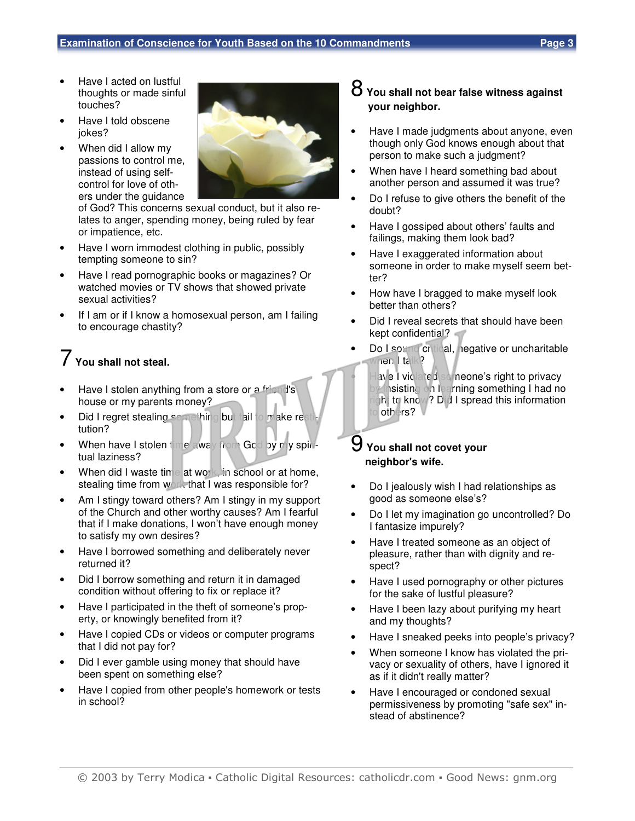- Have I acted on lustful thoughts or made sinful touches?
- Have I told obscene jokes?
- When did I allow my passions to control me, instead of using selfcontrol for love of others under the guidance



of God? This concerns sexual conduct, but it also relates to anger, spending money, being ruled by fear or impatience, etc.

- Have I worn immodest clothing in public, possibly tempting someone to sin?
- Have I read pornographic books or magazines? Or watched movies or TV shows that showed private sexual activities?
- If I am or if I know a homosexual person, am I failing to encourage chastity?

## 7 **You shall not steal.**

- Have I stolen anything from a store or a friend's house or my parents money?
- Did I regret stealing something but fail to make rest tution?
- When have I stolen time away from God by my spiritual laziness?
- When did I waste time at work, in school or at home, stealing time from work that I was responsible for?
- Am I stingy toward others? Am I stingy in my support of the Church and other worthy causes? Am I fearful that if I make donations, I won't have enough money to satisfy my own desires?
- Have I borrowed something and deliberately never returned it?
- Did I borrow something and return it in damaged condition without offering to fix or replace it?
- Have I participated in the theft of someone's property, or knowingly benefited from it?
- Have I copied CDs or videos or computer programs that I did not pay for?
- Did I ever gamble using money that should have been spent on something else?
- Have I copied from other people's homework or tests in school?

#### 8 **You shall not bear false witness against your neighbor.**

- Have I made judgments about anyone, even though only God knows enough about that person to make such a judgment?
- When have I heard something bad about another person and assumed it was true?
- Do I refuse to give others the benefit of the doubt?
- Have I gossiped about others' faults and failings, making them look bad?
- Have I exaggerated information about someone in order to make myself seem better?
- How have I bragged to make myself look better than others?
- Did I reveal secrets that should have been kept confidential?
- Do I sound critical, negative or uncharitable when I talk?
	- ave I violated someone's right to privacy **Ansisting on learning something I had no** In to know? Did I spread this information others?

#### 9 **You shall not covet your neighbor's wife.**

- Do I jealously wish I had relationships as good as someone else's?
- Do I let my imagination go uncontrolled? Do I fantasize impurely?
- Have I treated someone as an object of pleasure, rather than with dignity and respect?
- Have I used pornography or other pictures for the sake of lustful pleasure?
- Have I been lazy about purifying my heart and my thoughts?
- Have I sneaked peeks into people's privacy?
- When someone I know has violated the privacy or sexuality of others, have I ignored it as if it didn't really matter?
- Have I encouraged or condoned sexual permissiveness by promoting "safe sex" instead of abstinence?